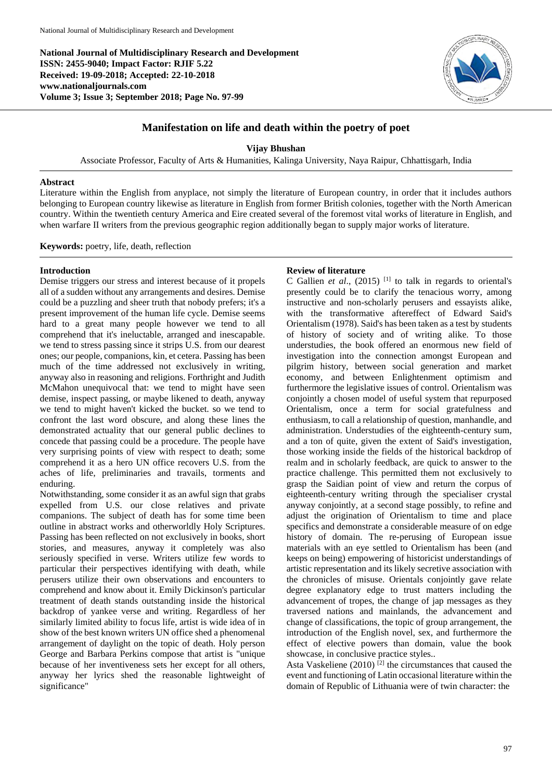**National Journal of Multidisciplinary Research and Development ISSN: 2455-9040; Impact Factor: RJIF 5.22 Received: 19-09-2018; Accepted: 22-10-2018 www.nationaljournals.com Volume 3; Issue 3; September 2018; Page No. 97-99**



# **Manifestation on life and death within the poetry of poet**

**Vijay Bhushan**

Associate Professor, Faculty of Arts & Humanities, Kalinga University, Naya Raipur, Chhattisgarh, India

## **Abstract**

Literature within the English from anyplace, not simply the literature of European country, in order that it includes authors belonging to European country likewise as literature in English from former British colonies, together with the North American country. Within the twentieth century America and Eire created several of the foremost vital works of literature in English, and when warfare II writers from the previous geographic region additionally began to supply major works of literature.

**Keywords:** poetry, life, death, reflection

# **Introduction**

Demise triggers our stress and interest because of it propels all of a sudden without any arrangements and desires. Demise could be a puzzling and sheer truth that nobody prefers; it's a present improvement of the human life cycle. Demise seems hard to a great many people however we tend to all comprehend that it's ineluctable, arranged and inescapable. we tend to stress passing since it strips U.S. from our dearest ones; our people, companions, kin, et cetera. Passing has been much of the time addressed not exclusively in writing, anyway also in reasoning and religions. Forthright and Judith McMahon unequivocal that: we tend to might have seen demise, inspect passing, or maybe likened to death, anyway we tend to might haven't kicked the bucket. so we tend to confront the last word obscure, and along these lines the demonstrated actuality that our general public declines to concede that passing could be a procedure. The people have very surprising points of view with respect to death; some comprehend it as a hero UN office recovers U.S. from the aches of life, preliminaries and travails, torments and enduring.

Notwithstanding, some consider it as an awful sign that grabs expelled from U.S. our close relatives and private companions. The subject of death has for some time been outline in abstract works and otherworldly Holy Scriptures. Passing has been reflected on not exclusively in books, short stories, and measures, anyway it completely was also seriously specified in verse. Writers utilize few words to particular their perspectives identifying with death, while perusers utilize their own observations and encounters to comprehend and know about it. Emily Dickinson's particular treatment of death stands outstanding inside the historical backdrop of yankee verse and writing. Regardless of her similarly limited ability to focus life, artist is wide idea of in show of the best known writers UN office shed a phenomenal arrangement of daylight on the topic of death. Holy person George and Barbara Perkins compose that artist is "unique because of her inventiveness sets her except for all others, anyway her lyrics shed the reasonable lightweight of significance"

# **Review of literature**

C Gallien *et al*., (2015) [1] to talk in regards to oriental's presently could be to clarify the tenacious worry, among instructive and non-scholarly perusers and essayists alike, with the transformative aftereffect of Edward Said's Orientalism (1978). Said's has been taken as a test by students of history of society and of writing alike. To those understudies, the book offered an enormous new field of investigation into the connection amongst European and pilgrim history, between social generation and market economy, and between Enlightenment optimism and furthermore the legislative issues of control. Orientalism was conjointly a chosen model of useful system that repurposed Orientalism, once a term for social gratefulness and enthusiasm, to call a relationship of question, manhandle, and administration. Understudies of the eighteenth-century sum, and a ton of quite, given the extent of Said's investigation, those working inside the fields of the historical backdrop of realm and in scholarly feedback, are quick to answer to the practice challenge. This permitted them not exclusively to grasp the Saidian point of view and return the corpus of eighteenth-century writing through the specialiser crystal anyway conjointly, at a second stage possibly, to refine and adjust the origination of Orientalism to time and place specifics and demonstrate a considerable measure of on edge history of domain. The re-perusing of European issue materials with an eye settled to Orientalism has been (and keeps on being) empowering of historicist understandings of artistic representation and its likely secretive association with the chronicles of misuse. Orientals conjointly gave relate degree explanatory edge to trust matters including the advancement of tropes, the change of jap messages as they traversed nations and mainlands, the advancement and change of classifications, the topic of group arrangement, the introduction of the English novel, sex, and furthermore the effect of elective powers than domain, value the book showcase, in conclusive practice styles..

Asta Vaskeliene  $(2010)$ <sup>[2]</sup> the circumstances that caused the event and functioning of Latin occasional literature within the domain of Republic of Lithuania were of twin character: the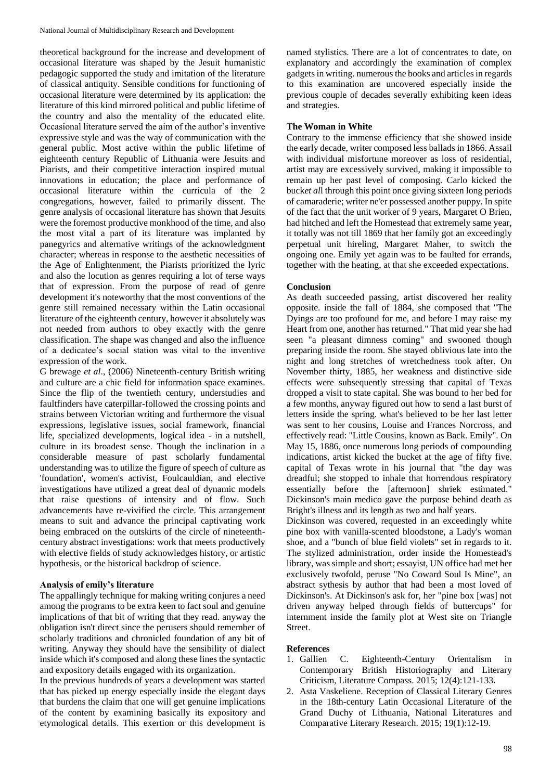theoretical background for the increase and development of occasional literature was shaped by the Jesuit humanistic pedagogic supported the study and imitation of the literature of classical antiquity. Sensible conditions for functioning of occasional literature were determined by its application: the literature of this kind mirrored political and public lifetime of the country and also the mentality of the educated elite. Occasional literature served the aim of the author's inventive expressive style and was the way of communication with the general public. Most active within the public lifetime of eighteenth century Republic of Lithuania were Jesuits and Piarists, and their competitive interaction inspired mutual innovations in education; the place and performance of occasional literature within the curricula of the 2 congregations, however, failed to primarily dissent. The genre analysis of occasional literature has shown that Jesuits were the foremost productive monkhood of the time, and also the most vital a part of its literature was implanted by panegyrics and alternative writings of the acknowledgment character; whereas in response to the aesthetic necessities of the Age of Enlightenment, the Piarists prioritized the lyric and also the locution as genres requiring a lot of terse ways that of expression. From the purpose of read of genre development it's noteworthy that the most conventions of the genre still remained necessary within the Latin occasional literature of the eighteenth century, however it absolutely was not needed from authors to obey exactly with the genre classification. The shape was changed and also the influence of a dedicatee's social station was vital to the inventive expression of the work.

G brewage *et al*., (2006) Nineteenth-century British writing and culture are a chic field for information space examines. Since the flip of the twentieth century, understudies and faultfinders have caterpillar-followed the crossing points and strains between Victorian writing and furthermore the visual expressions, legislative issues, social framework, financial life, specialized developments, logical idea - in a nutshell, culture in its broadest sense. Though the inclination in a considerable measure of past scholarly fundamental understanding was to utilize the figure of speech of culture as 'foundation', women's activist, Foulcauldian, and elective investigations have utilized a great deal of dynamic models that raise questions of intensity and of flow. Such advancements have re-vivified the circle. This arrangement means to suit and advance the principal captivating work being embraced on the outskirts of the circle of nineteenthcentury abstract investigations: work that meets productively with elective fields of study acknowledges history, or artistic hypothesis, or the historical backdrop of science.

## **Analysis of emily's literature**

The appallingly technique for making writing conjures a need among the programs to be extra keen to fact soul and genuine implications of that bit of writing that they read. anyway the obligation isn't direct since the perusers should remember of scholarly traditions and chronicled foundation of any bit of writing. Anyway they should have the sensibility of dialect inside which it's composed and along these lines the syntactic and expository details engaged with its organization.

In the previous hundreds of years a development was started that has picked up energy especially inside the elegant days that burdens the claim that one will get genuine implications of the content by examining basically its expository and etymological details. This exertion or this development is named stylistics. There are a lot of concentrates to date, on explanatory and accordingly the examination of complex gadgets in writing. numerous the books and articles in regards to this examination are uncovered especially inside the previous couple of decades severally exhibiting keen ideas and strategies.

### **The Woman in White**

Contrary to the immense efficiency that she showed inside the early decade, writer composed less ballads in 1866. Assail with individual misfortune moreover as loss of residential, artist may are excessively survived, making it impossible to remain up her past level of composing. Carlo kicked the buck*et al*l through this point once giving sixteen long periods of camaraderie; writer ne'er possessed another puppy. In spite of the fact that the unit worker of 9 years, Margaret O Brien, had hitched and left the Homestead that extremely same year, it totally was not till 1869 that her family got an exceedingly perpetual unit hireling, Margaret Maher, to switch the ongoing one. Emily yet again was to be faulted for errands, together with the heating, at that she exceeded expectations.

### **Conclusion**

As death succeeded passing, artist discovered her reality opposite. inside the fall of 1884, she composed that "The Dyings are too profound for me, and before I may raise my Heart from one, another has returned." That mid year she had seen "a pleasant dimness coming" and swooned though preparing inside the room. She stayed oblivious late into the night and long stretches of wretchedness took after. On November thirty, 1885, her weakness and distinctive side effects were subsequently stressing that capital of Texas dropped a visit to state capital. She was bound to her bed for a few months, anyway figured out how to send a last burst of letters inside the spring. what's believed to be her last letter was sent to her cousins, Louise and Frances Norcross, and effectively read: "Little Cousins, known as Back. Emily". On May 15, 1886, once numerous long periods of compounding indications, artist kicked the bucket at the age of fifty five. capital of Texas wrote in his journal that "the day was dreadful; she stopped to inhale that horrendous respiratory essentially before the [afternoon] shriek estimated." Dickinson's main medico gave the purpose behind death as Bright's illness and its length as two and half years.

Dickinson was covered, requested in an exceedingly white pine box with vanilla-scented bloodstone, a Lady's woman shoe, and a "bunch of blue field violets" set in regards to it. The stylized administration, order inside the Homestead's library, was simple and short; essayist, UN office had met her exclusively twofold, peruse "No Coward Soul Is Mine", an abstract sythesis by author that had been a most loved of Dickinson's. At Dickinson's ask for, her "pine box [was] not driven anyway helped through fields of buttercups" for internment inside the family plot at West site on Triangle Street.

#### **References**

- 1. Gallien C. Eighteenth-Century Orientalism in Contemporary British Historiography and Literary Criticism, Literature Compass. 2015; 12(4):121-133.
- 2. Asta Vaskeliene. Reception of Classical Literary Genres in the 18th-century Latin Occasional Literature of the Grand Duchy of Lithuania, National Literatures and Comparative Literary Research. 2015; 19(1):12-19.